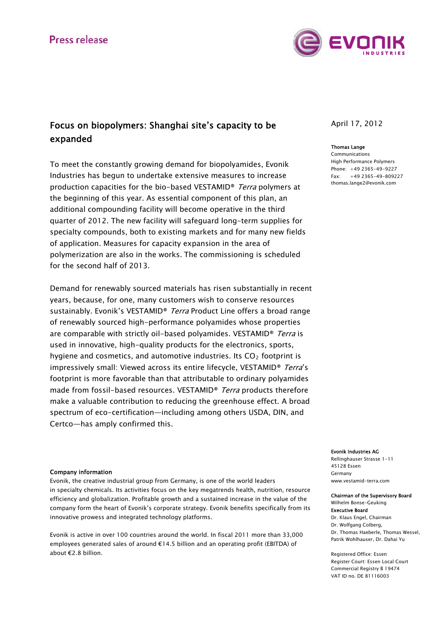# Press release



# Focus on biopolymers: Shanghai site's capacity to be expanded

To meet the constantly growing demand for biopolyamides, Evonik Industries has begun to undertake extensive measures to increase production capacities for the bio-based VESTAMID® Terra polymers at the beginning of this year. As essential component of this plan, an additional compounding facility will become operative in the third quarter of 2012. The new facility will safeguard long-term supplies for specialty compounds, both to existing markets and for many new fields of application. Measures for capacity expansion in the area of polymerization are also in the works. The commissioning is scheduled for the second half of 2013.

Demand for renewably sourced materials has risen substantially in recent years, because, for one, many customers wish to conserve resources sustainably. Evonik's VESTAMID<sup>®</sup> Terra Product Line offers a broad range of renewably sourced high-performance polyamides whose properties are comparable with strictly oil-based polyamides. VESTAMID<sup>®</sup> Terra is used in innovative, high-quality products for the electronics, sports, hygiene and cosmetics, and automotive industries. Its  $CO<sub>2</sub>$  footprint is impressively small: Viewed across its entire lifecycle, VESTAMID<sup>®</sup> Terra's footprint is more favorable than that attributable to ordinary polyamides made from fossil-based resources. VESTAMID<sup>®</sup> Terra products therefore make a valuable contribution to reducing the greenhouse effect. A broad spectrum of eco-certification—including among others USDA, DIN, and Certco―has amply confirmed this.

### Company information

Evonik, the creative industrial group from Germany, is one of the world leaders in specialty chemicals. Its activities focus on the key megatrends health, nutrition, resource efficiency and globalization. Profitable growth and a sustained increase in the value of the company form the heart of Evonik's corporate strategy. Evonik benefits specifically from its innovative prowess and integrated technology platforms.

Evonik is active in over 100 countries around the world. In fiscal 2011 more than 33,000 employees generated sales of around €14.5 billion and an operating profit (EBITDA) of about €2.8 billion.

## April 17, 2012

#### Thomas Lange

Communications High Performance Polymers Phone: +49 2365-49-9227 Fax: +49 2365-49-809227 [thomas.lange2@evonik.com](mailto:thomas.lange2@evonik.com)

#### Evonik Industries AG

Rellinghauser Strasse 1-11 45128 Essen Germany www.vestamid-terra.com

### Chairman of the Supervisory Board Wilhelm Bonse-Geuking Executive Board

Dr. Klaus Engel, Chairman Dr. Wolfgang Colberg, Dr. Thomas Haeberle, Thomas Wessel, Patrik Wohlhauser, Dr. Dahai Yu

Registered Office: Essen Register Court: Essen Local Court Commercial Registry B 19474 VAT ID no. DE 81116003